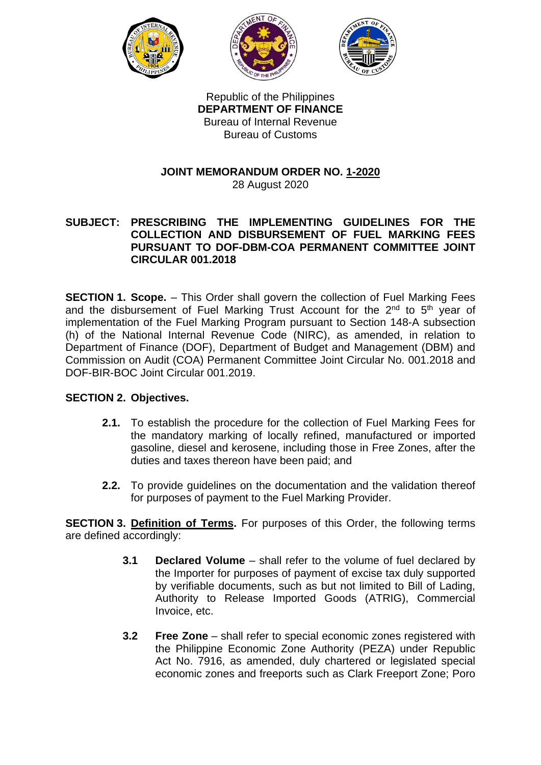





Republic of the Philippines **DEPARTMENT OF FINANCE** Bureau of Internal Revenue Bureau of Customs

# **JOINT MEMORANDUM ORDER NO. 1-2020**

28 August 2020

## **SUBJECT: PRESCRIBING THE IMPLEMENTING GUIDELINES FOR THE COLLECTION AND DISBURSEMENT OF FUEL MARKING FEES PURSUANT TO DOF-DBM-COA PERMANENT COMMITTEE JOINT CIRCULAR 001.2018**

**SECTION 1. Scope.** – This Order shall govern the collection of Fuel Marking Fees and the disbursement of Fuel Marking Trust Account for the  $2^{nd}$  to  $5^{th}$  year of implementation of the Fuel Marking Program pursuant to Section 148-A subsection (h) of the National Internal Revenue Code (NIRC), as amended, in relation to Department of Finance (DOF), Department of Budget and Management (DBM) and Commission on Audit (COA) Permanent Committee Joint Circular No. 001.2018 and DOF-BIR-BOC Joint Circular 001.2019.

# **SECTION 2. Objectives.**

- **2.1.** To establish the procedure for the collection of Fuel Marking Fees for the mandatory marking of locally refined, manufactured or imported gasoline, diesel and kerosene, including those in Free Zones, after the duties and taxes thereon have been paid; and
- **2.2.** To provide guidelines on the documentation and the validation thereof for purposes of payment to the Fuel Marking Provider.

**SECTION 3. Definition of Terms.** For purposes of this Order, the following terms are defined accordingly:

- **3.1 Declared Volume** shall refer to the volume of fuel declared by the Importer for purposes of payment of excise tax duly supported by verifiable documents, such as but not limited to Bill of Lading, Authority to Release Imported Goods (ATRIG), Commercial Invoice, etc.
- **3.2 Free Zone** shall refer to special economic zones registered with the Philippine Economic Zone Authority (PEZA) under Republic Act No. 7916, as amended, duly chartered or legislated special economic zones and freeports such as Clark Freeport Zone; Poro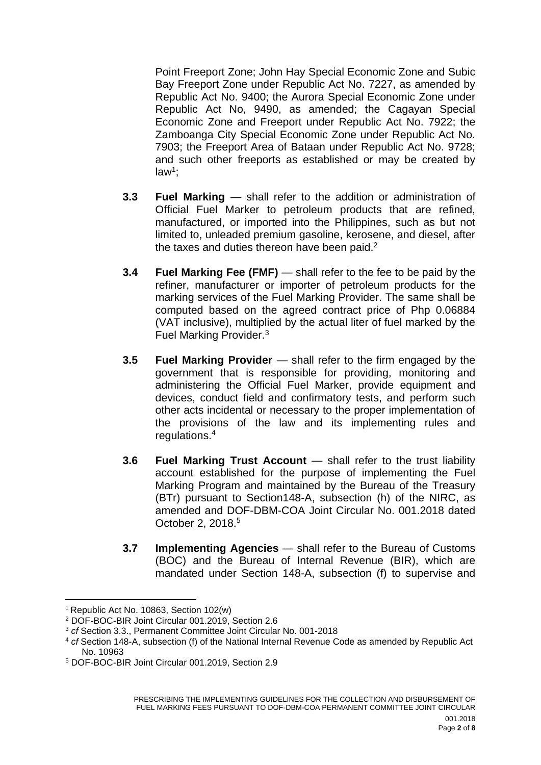Point Freeport Zone; John Hay Special Economic Zone and Subic Bay Freeport Zone under Republic Act No. 7227, as amended by Republic Act No. 9400; the Aurora Special Economic Zone under Republic Act No, 9490, as amended; the Cagayan Special Economic Zone and Freeport under Republic Act No. 7922; the Zamboanga City Special Economic Zone under Republic Act No. 7903; the Freeport Area of Bataan under Republic Act No. 9728; and such other freeports as established or may be created by law<sup>1</sup>;

- **3.3 Fuel Marking**  shall refer to the addition or administration of Official Fuel Marker to petroleum products that are refined, manufactured, or imported into the Philippines, such as but not limited to, unleaded premium gasoline, kerosene, and diesel, after the taxes and duties thereon have been paid.<sup>2</sup>
- **3.4 Fuel Marking Fee (FMF)**  shall refer to the fee to be paid by the refiner, manufacturer or importer of petroleum products for the marking services of the Fuel Marking Provider. The same shall be computed based on the agreed contract price of Php 0.06884 (VAT inclusive), multiplied by the actual liter of fuel marked by the Fuel Marking Provider.<sup>3</sup>
- **3.5 Fuel Marking Provider**  shall refer to the firm engaged by the government that is responsible for providing, monitoring and administering the Official Fuel Marker, provide equipment and devices, conduct field and confirmatory tests, and perform such other acts incidental or necessary to the proper implementation of the provisions of the law and its implementing rules and regulations.<sup>4</sup>
- **3.6 Fuel Marking Trust Account** shall refer to the trust liability account established for the purpose of implementing the Fuel Marking Program and maintained by the Bureau of the Treasury (BTr) pursuant to Section148-A, subsection (h) of the NIRC, as amended and DOF-DBM-COA Joint Circular No. 001.2018 dated October 2, 2018.<sup>5</sup>
- **3.7 Implementing Agencies** shall refer to the Bureau of Customs (BOC) and the Bureau of Internal Revenue (BIR), which are mandated under Section 148-A, subsection (f) to supervise and

1

<sup>&</sup>lt;sup>1</sup> Republic Act No. 10863, Section 102(w)

<sup>2</sup> DOF-BOC-BIR Joint Circular 001.2019, Section 2.6

<sup>3</sup> *cf* Section 3.3., Permanent Committee Joint Circular No. 001-2018

<sup>4</sup> *cf* Section 148-A, subsection (f) of the National Internal Revenue Code as amended by Republic Act No. 10963

<sup>5</sup> DOF-BOC-BIR Joint Circular 001.2019, Section 2.9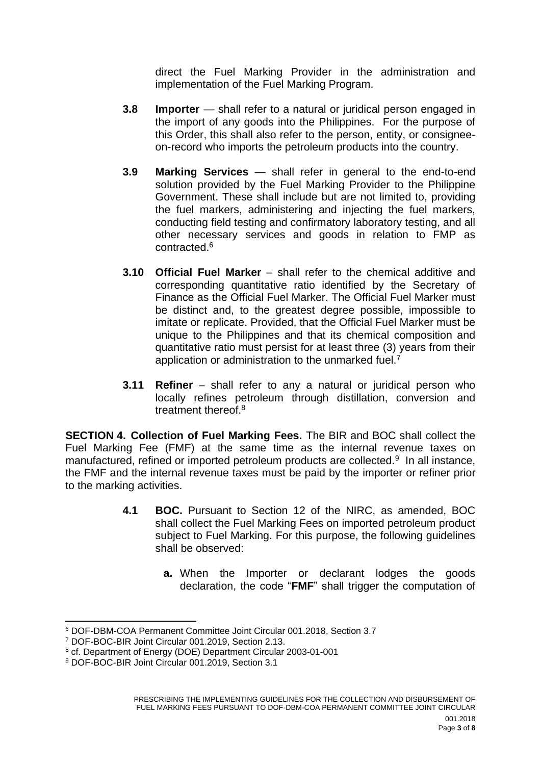direct the Fuel Marking Provider in the administration and implementation of the Fuel Marking Program.

- **3.8 Importer** shall refer to a natural or juridical person engaged in the import of any goods into the Philippines. For the purpose of this Order, this shall also refer to the person, entity, or consigneeon-record who imports the petroleum products into the country.
- **3.9 Marking Services** shall refer in general to the end-to-end solution provided by the Fuel Marking Provider to the Philippine Government. These shall include but are not limited to, providing the fuel markers, administering and injecting the fuel markers, conducting field testing and confirmatory laboratory testing, and all other necessary services and goods in relation to FMP as contracted.<sup>6</sup>
- **3.10 Official Fuel Marker** shall refer to the chemical additive and corresponding quantitative ratio identified by the Secretary of Finance as the Official Fuel Marker. The Official Fuel Marker must be distinct and, to the greatest degree possible, impossible to imitate or replicate. Provided, that the Official Fuel Marker must be unique to the Philippines and that its chemical composition and quantitative ratio must persist for at least three (3) years from their application or administration to the unmarked fuel.<sup>7</sup>
- **3.11 Refiner** shall refer to any a natural or juridical person who locally refines petroleum through distillation, conversion and treatment thereof.<sup>8</sup>

**SECTION 4. Collection of Fuel Marking Fees.** The BIR and BOC shall collect the Fuel Marking Fee (FMF) at the same time as the internal revenue taxes on manufactured, refined or imported petroleum products are collected.<sup>9</sup> In all instance, the FMF and the internal revenue taxes must be paid by the importer or refiner prior to the marking activities.

- **4.1 BOC.** Pursuant to Section 12 of the NIRC, as amended, BOC shall collect the Fuel Marking Fees on imported petroleum product subject to Fuel Marking. For this purpose, the following guidelines shall be observed:
	- **a.** When the Importer or declarant lodges the goods declaration, the code "**FMF**" shall trigger the computation of

**<sup>.</sup>** <sup>6</sup> DOF-DBM-COA Permanent Committee Joint Circular 001.2018, Section 3.7

<sup>7</sup> DOF-BOC-BIR Joint Circular 001.2019, Section 2.13.

<sup>8</sup> cf. Department of Energy (DOE) Department Circular 2003-01-001

<sup>&</sup>lt;sup>9</sup> DOF-BOC-BIR Joint Circular 001.2019, Section 3.1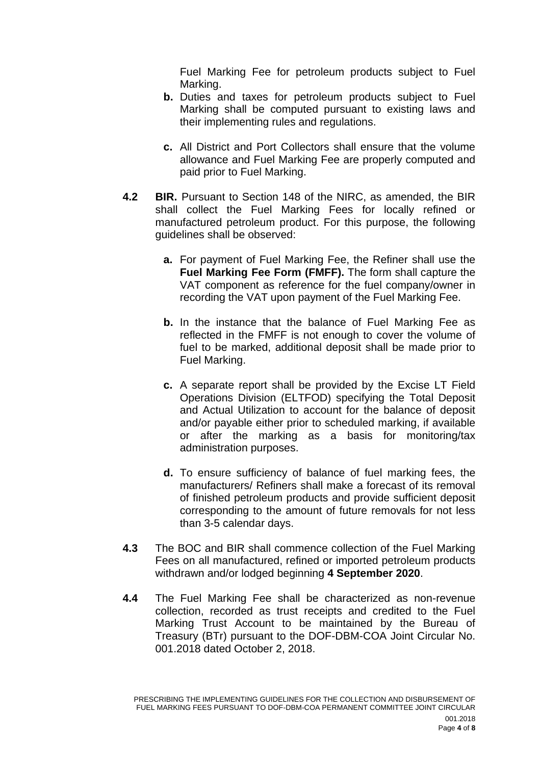Fuel Marking Fee for petroleum products subject to Fuel Marking.

- **b.** Duties and taxes for petroleum products subject to Fuel Marking shall be computed pursuant to existing laws and their implementing rules and regulations.
- **c.** All District and Port Collectors shall ensure that the volume allowance and Fuel Marking Fee are properly computed and paid prior to Fuel Marking.
- **4.2 BIR.** Pursuant to Section 148 of the NIRC, as amended, the BIR shall collect the Fuel Marking Fees for locally refined or manufactured petroleum product. For this purpose, the following guidelines shall be observed:
	- **a.** For payment of Fuel Marking Fee, the Refiner shall use the **Fuel Marking Fee Form (FMFF).** The form shall capture the VAT component as reference for the fuel company/owner in recording the VAT upon payment of the Fuel Marking Fee.
	- **b.** In the instance that the balance of Fuel Marking Fee as reflected in the FMFF is not enough to cover the volume of fuel to be marked, additional deposit shall be made prior to Fuel Marking.
	- **c.** A separate report shall be provided by the Excise LT Field Operations Division (ELTFOD) specifying the Total Deposit and Actual Utilization to account for the balance of deposit and/or payable either prior to scheduled marking, if available or after the marking as a basis for monitoring/tax administration purposes.
	- **d.** To ensure sufficiency of balance of fuel marking fees, the manufacturers/ Refiners shall make a forecast of its removal of finished petroleum products and provide sufficient deposit corresponding to the amount of future removals for not less than 3-5 calendar days.
- **4.3** The BOC and BIR shall commence collection of the Fuel Marking Fees on all manufactured, refined or imported petroleum products withdrawn and/or lodged beginning **4 September 2020**.
- **4.4** The Fuel Marking Fee shall be characterized as non-revenue collection, recorded as trust receipts and credited to the Fuel Marking Trust Account to be maintained by the Bureau of Treasury (BTr) pursuant to the DOF-DBM-COA Joint Circular No. 001.2018 dated October 2, 2018.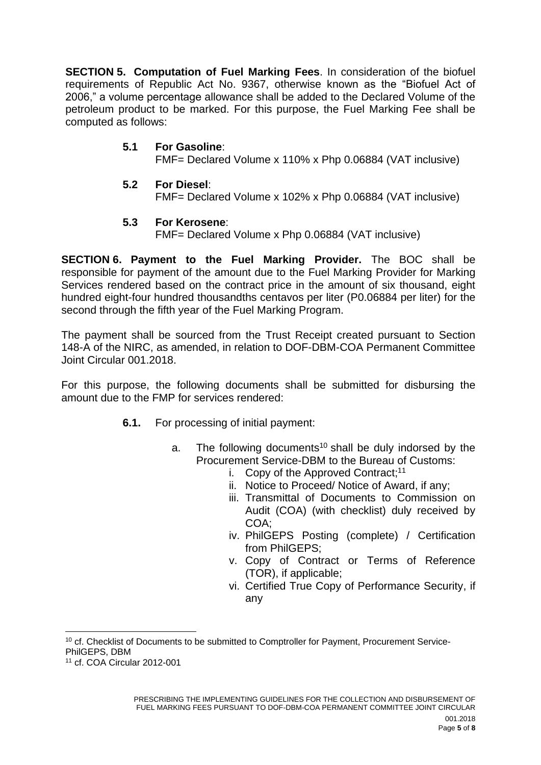**SECTION 5. Computation of Fuel Marking Fees**. In consideration of the biofuel requirements of Republic Act No. 9367, otherwise known as the "Biofuel Act of 2006," a volume percentage allowance shall be added to the Declared Volume of the petroleum product to be marked. For this purpose, the Fuel Marking Fee shall be computed as follows:

## **5.1 For Gasoline**:

FMF= Declared Volume x 110% x Php 0.06884 (VAT inclusive)

**5.2 For Diesel**:

FMF= Declared Volume x 102% x Php 0.06884 (VAT inclusive)

#### **5.3 For Kerosene**:

FMF= Declared Volume x Php 0.06884 (VAT inclusive)

**SECTION 6. Payment to the Fuel Marking Provider.** The BOC shall be responsible for payment of the amount due to the Fuel Marking Provider for Marking Services rendered based on the contract price in the amount of six thousand, eight hundred eight-four hundred thousandths centavos per liter (P0.06884 per liter) for the second through the fifth year of the Fuel Marking Program.

The payment shall be sourced from the Trust Receipt created pursuant to Section 148-A of the NIRC, as amended, in relation to DOF-DBM-COA Permanent Committee Joint Circular 001.2018.

For this purpose, the following documents shall be submitted for disbursing the amount due to the FMP for services rendered:

- **6.1.** For processing of initial payment:
	- a. The following documents<sup>10</sup> shall be duly indorsed by the Procurement Service-DBM to the Bureau of Customs:
		- i. Copy of the Approved Contract;<sup>11</sup>
		- ii. Notice to Proceed/ Notice of Award, if any;
		- iii. Transmittal of Documents to Commission on Audit (COA) (with checklist) duly received by COA;
		- iv. PhilGEPS Posting (complete) / Certification from PhilGEPS;
		- v. Copy of Contract or Terms of Reference (TOR), if applicable;
		- vi. Certified True Copy of Performance Security, if any

1

<sup>&</sup>lt;sup>10</sup> cf. Checklist of Documents to be submitted to Comptroller for Payment, Procurement Service-PhilGEPS, DBM

<sup>11</sup> cf. COA Circular 2012-001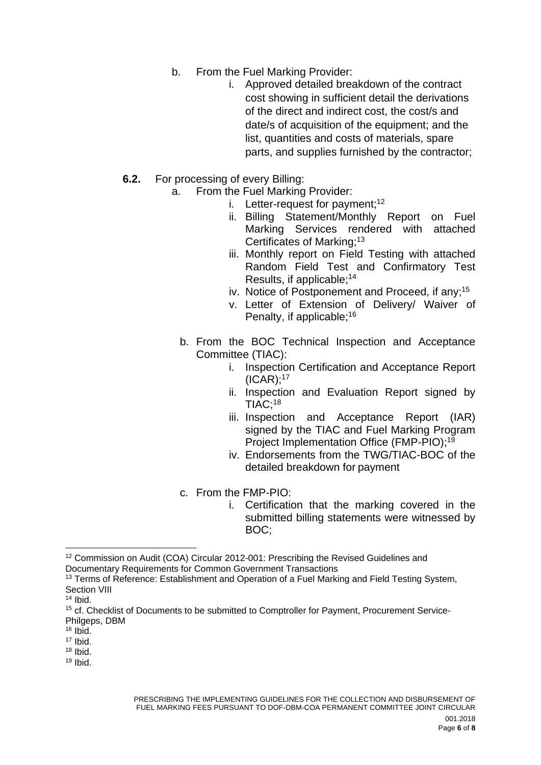- b. From the Fuel Marking Provider:
	- i. Approved detailed breakdown of the contract cost showing in sufficient detail the derivations of the direct and indirect cost, the cost/s and date/s of acquisition of the equipment; and the list, quantities and costs of materials, spare parts, and supplies furnished by the contractor;
- **6.2.** For processing of every Billing:
	- a. From the Fuel Marking Provider:
		- i. Letter-request for payment;<sup>12</sup>
			- ii. Billing Statement/Monthly Report on Fuel Marking Services rendered with attached Certificates of Marking; 13
			- iii. Monthly report on Field Testing with attached Random Field Test and Confirmatory Test Results, if applicable; 14
		- iv. Notice of Postponement and Proceed, if any;<sup>15</sup>
		- v. Letter of Extension of Delivery/ Waiver of Penalty, if applicable; 16
		- b. From the BOC Technical Inspection and Acceptance Committee (TIAC):
			- i. Inspection Certification and Acceptance Report  $(ICAR);^{17}$
			- ii. Inspection and Evaluation Report signed by TIAC; 18
			- iii. Inspection and Acceptance Report (IAR) signed by the TIAC and Fuel Marking Program Project Implementation Office (FMP-PIO); 19
			- iv. Endorsements from the TWG/TIAC-BOC of the detailed breakdown for payment
		- c. From the FMP-PIO:
			- i. Certification that the marking covered in the submitted billing statements were witnessed by BOC;

**.** 

<sup>&</sup>lt;sup>12</sup> Commission on Audit (COA) Circular 2012-001: Prescribing the Revised Guidelines and Documentary Requirements for Common Government Transactions

<sup>&</sup>lt;sup>13</sup> Terms of Reference: Establishment and Operation of a Fuel Marking and Field Testing System, Section VIII

 $14$  Ibid.

<sup>&</sup>lt;sup>15</sup> cf. Checklist of Documents to be submitted to Comptroller for Payment, Procurement Service-Philgeps, DBM

 $16$  Ibid.

<sup>17</sup> Ibid.

<sup>18</sup> Ibid.

 $19$  Ibid.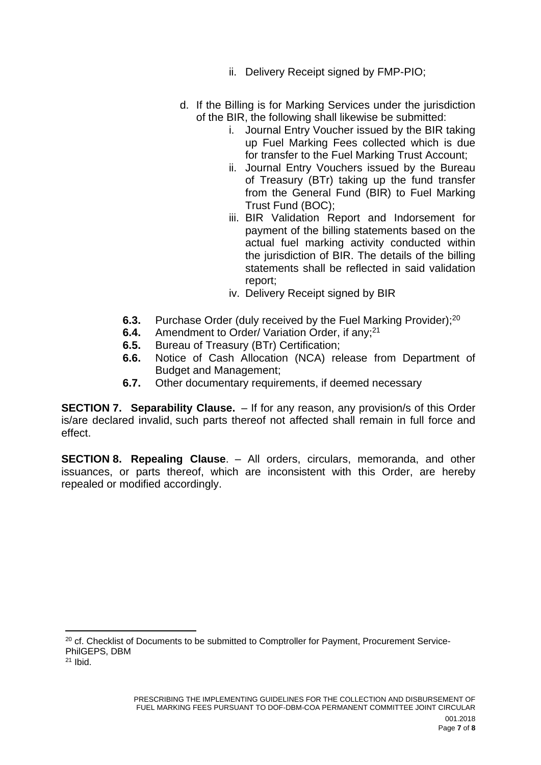- ii. Delivery Receipt signed by FMP-PIO;
- d. If the Billing is for Marking Services under the jurisdiction of the BIR, the following shall likewise be submitted:
	- i. Journal Entry Voucher issued by the BIR taking up Fuel Marking Fees collected which is due for transfer to the Fuel Marking Trust Account;
	- ii. Journal Entry Vouchers issued by the Bureau of Treasury (BTr) taking up the fund transfer from the General Fund (BIR) to Fuel Marking Trust Fund (BOC);
	- iii. BIR Validation Report and Indorsement for payment of the billing statements based on the actual fuel marking activity conducted within the jurisdiction of BIR. The details of the billing statements shall be reflected in said validation report;
	- iv. Delivery Receipt signed by BIR
- **6.3.** Purchase Order (duly received by the Fuel Marking Provider);<sup>20</sup>
- **6.4.** Amendment to Order/ Variation Order, if any;<sup>21</sup>
- **6.5.** Bureau of Treasury (BTr) Certification;
- **6.6.** Notice of Cash Allocation (NCA) release from Department of Budget and Management;
- **6.7.** Other documentary requirements, if deemed necessary

**SECTION 7. Separability Clause.** – If for any reason, any provision/s of this Order is/are declared invalid, such parts thereof not affected shall remain in full force and effect.

**SECTION 8. Repealing Clause**. – All orders, circulars, memoranda, and other issuances, or parts thereof, which are inconsistent with this Order, are hereby repealed or modified accordingly.

1

<sup>&</sup>lt;sup>20</sup> cf. Checklist of Documents to be submitted to Comptroller for Payment, Procurement Service-PhilGEPS, DBM

 $21$  Ibid.